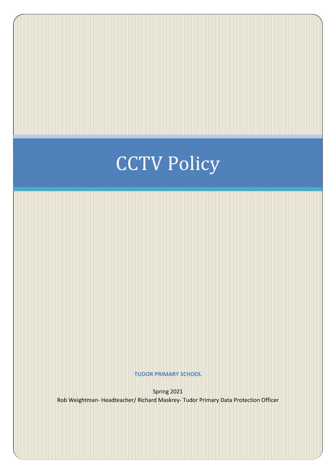# CCTV Policy

**TUDOR PRIMARY SCHOOL**

Spring 2021

Rob Weightman- Headteacher/ Richard Maskrey- Tudor Primary Data Protection Officer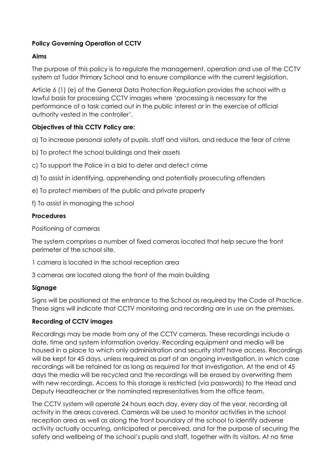# **Policy Governing Operation of CCTV**

## **Aims**

The purpose of this policy is to regulate the management, operation and use of the CCTV system at Tudor Primary School and to ensure compliance with the current legislation.

Article 6 (1) (e) of the General Data Protection Regulation provides the school with a lawful basis for processing CCTV images where 'processing is necessary for the performance of a task carried out in the public interest or in the exercise of official authority vested in the controller'.

# **Objectives of this CCTV Policy are:**

a) To increase personal safety of pupils, staff and visitors, and reduce the fear of crime

- b) To protect the school buildings and their assets
- c) To support the Police in a bid to deter and detect crime
- d) To assist in identifying, apprehending and potentially prosecuting offenders
- e) To protect members of the public and private property
- f) To assist in managing the school

## **Procedures**

Positioning of cameras

The system comprises a number of fixed cameras located that help secure the front perimeter of the school site.

1 camera is located in the school reception area

3 cameras are located along the front of the main building

## **Signage**

Signs will be positioned at the entrance to the School as required by the Code of Practice. These signs will indicate that CCTV monitoring and recording are in use on the premises.

# **Recording of CCTV images**

Recordings may be made from any of the CCTV cameras. These recordings include a date, time and system information overlay. Recording equipment and media will be housed in a place to which only administration and security staff have access. Recordings will be kept for 45 days, unless required as part of an ongoing investigation, in which case recordings will be retained for as long as required for that investigation. At the end of 45 days the media will be recycled and the recordings will be erased by overwriting them with new recordings. Access to this storage is restricted (via passwords) to the Head and Deputy Headteacher or the nominated representatives from the office team.

The CCTV system will operate 24 hours each day, every day of the year, recording all activity in the areas covered. Cameras will be used to monitor activities in the school reception area as well as along the front boundary of the school to identify adverse activity actually occurring, anticipated or perceived, and for the purpose of securing the safety and wellbeing of the school's pupils and staff, together with its visitors. At no time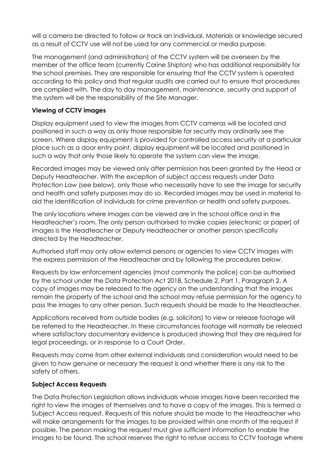will a camera be directed to follow or track an individual. Materials or knowledge secured as a result of CCTV use will not be used for any commercial or media purpose.

The management (and administration) of the CCTV system will be overseen by the member of the office team (currently Corine Shipton) who has additional responsibility for the school premises. They are responsible for ensuring that the CCTV system is operated according to this policy and that regular audits are carried out to ensure that procedures are complied with. The day to day management, maintenance, security and support of the system will be the responsibility of the Site Manager.

# **Viewing of CCTV images**

Display equipment used to view the images from CCTV cameras will be located and positioned in such a way as only those responsible for security may ordinarily see the screen. Where display equipment is provided for controlled access security at a particular place such as a door entry point, display equipment will be located and positioned in such a way that only those likely to operate the system can view the image.

Recorded images may be viewed only after permission has been granted by the Head or Deputy Headteacher. With the exception of subject access requests under Data Protection Law (see below), only those who necessarily have to see the image for security and health and safety purposes may do so. Recorded images may be used in material to aid the identification of individuals for crime prevention or health and safety purposes.

The only locations where images can be viewed are in the school office and in the Headteacher's room. The only person authorised to make copies (electronic or paper) of images is the Headteacher or Deputy Headteacher or another person specifically directed by the Headteacher.

Authorised staff may only allow external persons or agencies to view CCTV images with the express permission of the Headteacher and by following the procedures below.

Requests by law enforcement agencies (most commonly the police) can be authorised by the school under the Data Protection Act 2018, Schedule 2, Part 1, Paragraph 2. A copy of images may be released to the agency on the understanding that the images remain the property of the school and the school may refuse permission for the agency to pass the images to any other person. Such requests should be made to the Headteacher.

Applications received from outside bodies (e.g. solicitors) to view or release footage will be referred to the Headteacher. In these circumstances footage will normally be released where satisfactory documentary evidence is produced showing that they are required for legal proceedings, or in response to a Court Order.

Requests may come from other external individuals and consideration would need to be given to how genuine or necessary the request is and whether there is any risk to the safety of others.

# **Subject Access Requests**

The Data Protection Legislation allows individuals whose images have been recorded the right to view the images of themselves and to have a copy of the images. This is termed a Subject Access request. Requests of this nature should be made to the Headteacher who will make arrangements for the images to be provided within one month of the request if possible. The person making the request must give sufficient information to enable the images to be found. The school reserves the right to refuse access to CCTV footage where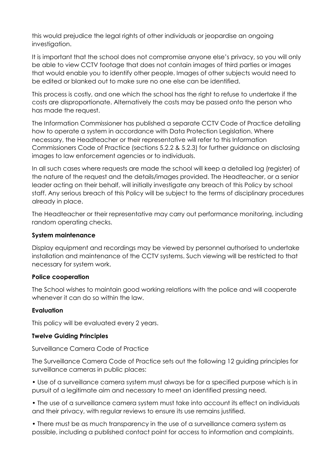this would prejudice the legal rights of other individuals or jeopardise an ongoing investigation.

It is important that the school does not compromise anyone else's privacy, so you will only be able to view CCTV footage that does not contain images of third parties or images that would enable you to identify other people. Images of other subjects would need to be edited or blanked out to make sure no one else can be identified.

This process is costly, and one which the school has the right to refuse to undertake if the costs are disproportionate. Alternatively the costs may be passed onto the person who has made the request.

The Information Commissioner has published a separate CCTV Code of Practice detailing how to operate a system in accordance with Data Protection Legislation. Where necessary, the Headteacher or their representative will refer to this Information Commissioners Code of Practice (sections 5.2.2 & 5.2.3) for further guidance on disclosing images to law enforcement agencies or to individuals.

In all such cases where requests are made the school will keep a detailed log (register) of the nature of the request and the details/images provided. The Headteacher, or a senior leader acting on their behalf, will initially investigate any breach of this Policy by school staff. Any serious breach of this Policy will be subject to the terms of disciplinary procedures already in place.

The Headteacher or their representative may carry out performance monitoring, including random operating checks.

### **System maintenance**

Display equipment and recordings may be viewed by personnel authorised to undertake installation and maintenance of the CCTV systems. Such viewing will be restricted to that necessary for system work.

## **Police cooperation**

The School wishes to maintain good working relations with the police and will cooperate whenever it can do so within the law.

## **Evaluation**

This policy will be evaluated every 2 years.

#### **Twelve Guiding Principles**

Surveillance Camera Code of Practice

The Surveillance Camera Code of Practice sets out the following 12 guiding principles for surveillance cameras in public places:

• Use of a surveillance camera system must always be for a specified purpose which is in pursuit of a legitimate aim and necessary to meet an identified pressing need.

• The use of a surveillance camera system must take into account its effect on individuals and their privacy, with regular reviews to ensure its use remains justified.

• There must be as much transparency in the use of a surveillance camera system as possible, including a published contact point for access to information and complaints.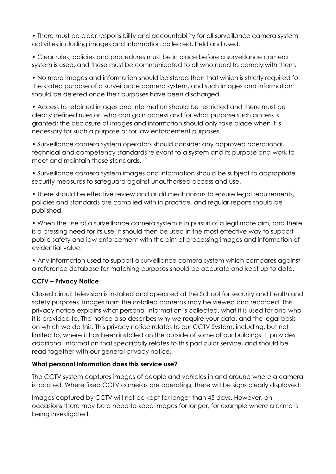• There must be clear responsibility and accountability for all surveillance camera system activities including images and information collected, held and used.

• Clear rules, policies and procedures must be in place before a surveillance camera system is used, and these must be communicated to all who need to comply with them.

• No more images and information should be stored than that which is strictly required for the stated purpose of a surveillance camera system, and such images and information should be deleted once their purposes have been discharged.

• Access to retained images and information should be restricted and there must be clearly defined rules on who can gain access and for what purpose such access is granted; the disclosure of images and information should only take place when it is necessary for such a purpose or for law enforcement purposes.

• Surveillance camera system operators should consider any approved operational, technical and competency standards relevant to a system and its purpose and work to meet and maintain those standards.

• Surveillance camera system images and information should be subject to appropriate security measures to safeguard against unauthorised access and use.

• There should be effective review and audit mechanisms to ensure legal requirements, policies and standards are complied with in practice, and regular reports should be published.

• When the use of a surveillance camera system is in pursuit of a legitimate aim, and there is a pressing need for its use, it should then be used in the most effective way to support public safety and law enforcement with the aim of processing images and information of evidential value.

• Any information used to support a surveillance camera system which compares against a reference database for matching purposes should be accurate and kept up to date.

# **CCTV – Privacy Notice**

Closed circuit television is installed and operated at the School for security and health and safety purposes. Images from the installed cameras may be viewed and recorded. This privacy notice explains what personal information is collected, what it is used for and who it is provided to. The notice also describes why we require your data, and the legal basis on which we do this. This privacy notice relates to our CCTV System, including, but not limited to, where it has been installed on the outside of some of our buildings. It provides additional information that specifically relates to this particular service, and should be read together with our general privacy notice.

## **What personal information does this service use?**

The CCTV system captures images of people and vehicles in and around where a camera is located. Where fixed CCTV cameras are operating, there will be signs clearly displayed.

Images captured by CCTV will not be kept for longer than 45 days. However, on occasions there may be a need to keep images for longer, for example where a crime is being investigated.